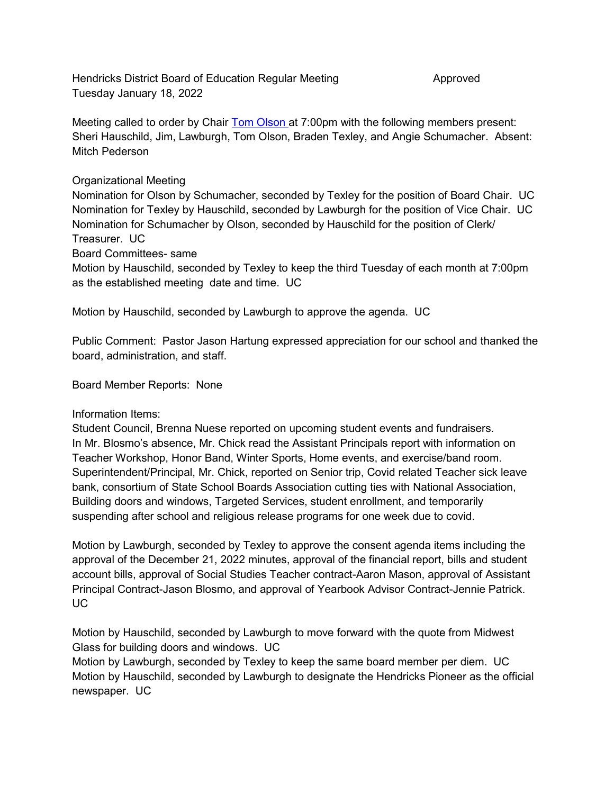Hendricks District Board of Education Regular Meeting Theoretics Approved Tuesday January 18, 2022

Meeting called to order by Chair Tom Olson at 7:00pm with the following members present: Sheri Hauschild, Jim, Lawburgh, Tom Olson, Braden Texley, and Angie Schumacher. Absent: Mitch Pederson

## Organizational Meeting

Nomination for Olson by Schumacher, seconded by Texley for the position of Board Chair. UC Nomination for Texley by Hauschild, seconded by Lawburgh for the position of Vice Chair. UC Nomination for Schumacher by Olson, seconded by Hauschild for the position of Clerk/ Treasurer. UC

Board Committees- same

Motion by Hauschild, seconded by Texley to keep the third Tuesday of each month at 7:00pm as the established meeting date and time. UC

Motion by Hauschild, seconded by Lawburgh to approve the agenda. UC

Public Comment: Pastor Jason Hartung expressed appreciation for our school and thanked the board, administration, and staff.

Board Member Reports: None

## Information Items:

Student Council, Brenna Nuese reported on upcoming student events and fundraisers. In Mr. Blosmo's absence, Mr. Chick read the Assistant Principals report with information on Teacher Workshop, Honor Band, Winter Sports, Home events, and exercise/band room. Superintendent/Principal, Mr. Chick, reported on Senior trip, Covid related Teacher sick leave bank, consortium of State School Boards Association cutting ties with National Association, Building doors and windows, Targeted Services, student enrollment, and temporarily suspending after school and religious release programs for one week due to covid.

Motion by Lawburgh, seconded by Texley to approve the consent agenda items including the approval of the December 21, 2022 minutes, approval of the financial report, bills and student account bills, approval of Social Studies Teacher contract-Aaron Mason, approval of Assistant Principal Contract-Jason Blosmo, and approval of Yearbook Advisor Contract-Jennie Patrick. UC

Motion by Hauschild, seconded by Lawburgh to move forward with the quote from Midwest Glass for building doors and windows. UC

Motion by Lawburgh, seconded by Texley to keep the same board member per diem. UC Motion by Hauschild, seconded by Lawburgh to designate the Hendricks Pioneer as the official newspaper. UC